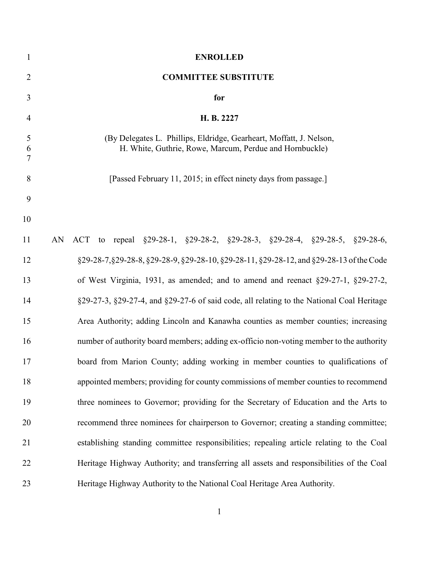| $\mathbf{1}$   | <b>ENROLLED</b>                                                                                                                |
|----------------|--------------------------------------------------------------------------------------------------------------------------------|
| $\overline{2}$ | <b>COMMITTEE SUBSTITUTE</b>                                                                                                    |
| 3              | for                                                                                                                            |
| 4              | H. B. 2227                                                                                                                     |
| 5<br>6<br>7    | (By Delegates L. Phillips, Eldridge, Gearheart, Moffatt, J. Nelson,<br>H. White, Guthrie, Rowe, Marcum, Perdue and Hornbuckle) |
| 8              | [Passed February 11, 2015; in effect ninety days from passage.]                                                                |
| 9              |                                                                                                                                |
| 10             |                                                                                                                                |
| 11             | ACT to repeal §29-28-1, §29-28-2, §29-28-3, §29-28-4, §29-28-5, §29-28-6,<br>AN                                                |
| 12             | §29-28-7, §29-28-8, §29-28-9, §29-28-10, §29-28-11, §29-28-12, and §29-28-13 of the Code                                       |
| 13             | of West Virginia, 1931, as amended; and to amend and reenact §29-27-1, §29-27-2,                                               |
| 14             | §29-27-3, §29-27-4, and §29-27-6 of said code, all relating to the National Coal Heritage                                      |
| 15             | Area Authority; adding Lincoln and Kanawha counties as member counties; increasing                                             |
| 16             | number of authority board members; adding ex-officio non-voting member to the authority                                        |
| 17             | board from Marion County; adding working in member counties to qualifications of                                               |
| 18             | appointed members; providing for county commissions of member counties to recommend                                            |
| 19             | three nominees to Governor; providing for the Secretary of Education and the Arts to                                           |
| 20             | recommend three nominees for chairperson to Governor; creating a standing committee;                                           |
| 21             | establishing standing committee responsibilities; repealing article relating to the Coal                                       |
| 22             | Heritage Highway Authority; and transferring all assets and responsibilities of the Coal                                       |
| 23             | Heritage Highway Authority to the National Coal Heritage Area Authority.                                                       |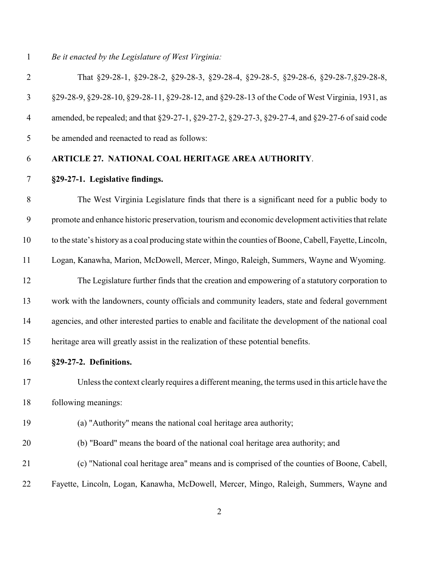*Be it enacted by the Legislature of West Virginia:*

| $\overline{2}$           | That §29-28-1, §29-28-2, §29-28-3, §29-28-4, §29-28-5, §29-28-6, §29-28-7, §29-28-8,                     |
|--------------------------|----------------------------------------------------------------------------------------------------------|
| 3                        | §29-28-9, §29-28-10, §29-28-11, §29-28-12, and §29-28-13 of the Code of West Virginia, 1931, as          |
| $\overline{\mathcal{A}}$ | amended, be repealed; and that §29-27-1, §29-27-2, §29-27-3, §29-27-4, and §29-27-6 of said code         |
| 5                        | be amended and reenacted to read as follows:                                                             |
| 6                        | ARTICLE 27. NATIONAL COAL HERITAGE AREA AUTHORITY.                                                       |
| 7                        | §29-27-1. Legislative findings.                                                                          |
| 8                        | The West Virginia Legislature finds that there is a significant need for a public body to                |
| 9                        | promote and enhance historic preservation, tourism and economic development activities that relate       |
| 10                       | to the state's history as a coal producing state within the counties of Boone, Cabell, Fayette, Lincoln, |
| 11                       | Logan, Kanawha, Marion, McDowell, Mercer, Mingo, Raleigh, Summers, Wayne and Wyoming.                    |
| 12                       | The Legislature further finds that the creation and empowering of a statutory corporation to             |
| 13                       | work with the landowners, county officials and community leaders, state and federal government           |
| 14                       | agencies, and other interested parties to enable and facilitate the development of the national coal     |
| 15                       | heritage area will greatly assist in the realization of these potential benefits.                        |
| 16                       | §29-27-2. Definitions.                                                                                   |
| 17                       | Unless the context clearly requires a different meaning, the terms used in this article have the         |
| 18                       | following meanings:                                                                                      |
| 19                       | (a) "Authority" means the national coal heritage area authority;                                         |

- (b) "Board" means the board of the national coal heritage area authority; and
- (c) "National coal heritage area" means and is comprised of the counties of Boone, Cabell, Fayette, Lincoln, Logan, Kanawha, McDowell, Mercer, Mingo, Raleigh, Summers, Wayne and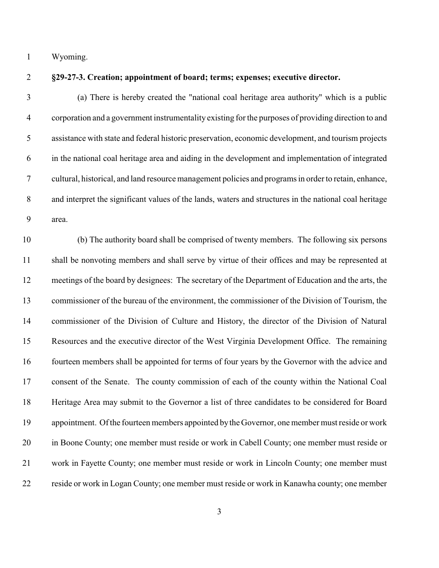Wyoming.

## **§29-27-3. Creation; appointment of board; terms; expenses; executive director.**

 (a) There is hereby created the "national coal heritage area authority" which is a public corporation and a government instrumentality existing for the purposes of providing direction to and assistance with state and federal historic preservation, economic development, and tourism projects in the national coal heritage area and aiding in the development and implementation of integrated cultural, historical, and land resource management policies and programs in orderto retain, enhance, and interpret the significant values of the lands, waters and structures in the national coal heritage area.

 (b) The authority board shall be comprised of twenty members. The following six persons shall be nonvoting members and shall serve by virtue of their offices and may be represented at meetings of the board by designees: The secretary of the Department of Education and the arts, the commissioner of the bureau of the environment, the commissioner of the Division of Tourism, the commissioner of the Division of Culture and History, the director of the Division of Natural Resources and the executive director of the West Virginia Development Office. The remaining fourteen members shall be appointed for terms of four years by the Governor with the advice and consent of the Senate. The county commission of each of the county within the National Coal Heritage Area may submit to the Governor a list of three candidates to be considered for Board appointment. Of the fourteen members appointed bythe Governor, one member must reside or work in Boone County; one member must reside or work in Cabell County; one member must reside or work in Fayette County; one member must reside or work in Lincoln County; one member must reside or work in Logan County; one member must reside or work in Kanawha county; one member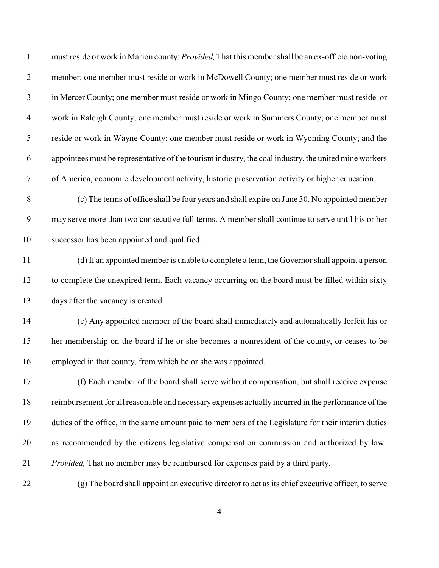| $\mathbf{1}$     | must reside or work in Marion county: <i>Provided</i> , That this member shall be an ex-officio non-voting |
|------------------|------------------------------------------------------------------------------------------------------------|
| $\overline{2}$   | member; one member must reside or work in McDowell County; one member must reside or work                  |
| $\mathfrak{Z}$   | in Mercer County; one member must reside or work in Mingo County; one member must reside or                |
| $\overline{4}$   | work in Raleigh County; one member must reside or work in Summers County; one member must                  |
| $\mathfrak s$    | reside or work in Wayne County; one member must reside or work in Wyoming County; and the                  |
| 6                | appointees must be representative of the tourism industry, the coal industry, the united mine workers      |
| $\boldsymbol{7}$ | of America, economic development activity, historic preservation activity or higher education.             |
| $8\,$            | (c) The terms of office shall be four years and shall expire on June 30. No appointed member               |
| $\mathbf{9}$     | may serve more than two consecutive full terms. A member shall continue to serve until his or her          |
| 10               | successor has been appointed and qualified.                                                                |
| 11               | (d) If an appointed member is unable to complete a term, the Governor shall appoint a person               |
| 12               | to complete the unexpired term. Each vacancy occurring on the board must be filled within sixty            |
| 13               | days after the vacancy is created.                                                                         |
| 14               | (e) Any appointed member of the board shall immediately and automatically forfeit his or                   |
| 15               | her membership on the board if he or she becomes a nonresident of the county, or ceases to be              |
| 16               | employed in that county, from which he or she was appointed.                                               |
| 17               | (f) Each member of the board shall serve without compensation, but shall receive expense                   |
| 18               | reimbursement for all reasonable and necessary expenses actually incurred in the performance of the        |
| 19               | duties of the office, in the same amount paid to members of the Legislature for their interim duties       |
| 20               | as recommended by the citizens legislative compensation commission and authorized by law:                  |
| 21               | <i>Provided</i> , That no member may be reimbursed for expenses paid by a third party.                     |
| 22               | (g) The board shall appoint an executive director to act as its chief executive officer, to serve          |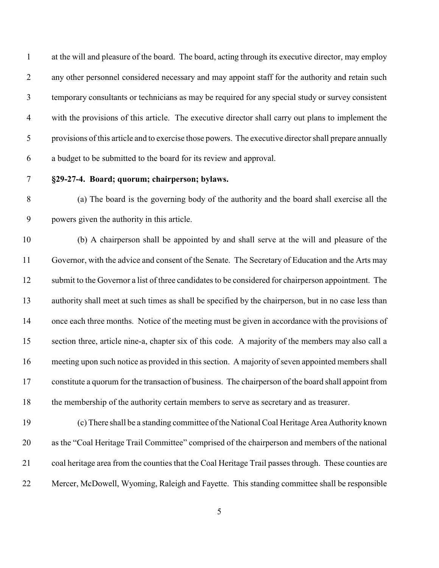at the will and pleasure of the board. The board, acting through its executive director, may employ any other personnel considered necessary and may appoint staff for the authority and retain such temporary consultants or technicians as may be required for any special study or survey consistent with the provisions of this article. The executive director shall carry out plans to implement the provisions of this article and to exercise those powers. The executive director shall prepare annually a budget to be submitted to the board for its review and approval.

## **§29-27-4. Board; quorum; chairperson; bylaws.**

 (a) The board is the governing body of the authority and the board shall exercise all the powers given the authority in this article.

 (b) A chairperson shall be appointed by and shall serve at the will and pleasure of the Governor, with the advice and consent of the Senate. The Secretary of Education and the Arts may submit to the Governor a list of three candidates to be considered for chairperson appointment. The authority shall meet at such times as shall be specified by the chairperson, but in no case less than once each three months. Notice of the meeting must be given in accordance with the provisions of section three, article nine-a, chapter six of this code. A majority of the members may also call a meeting upon such notice as provided in this section. A majority of seven appointed members shall constitute a quorum for the transaction of business. The chairperson of the board shall appoint from the membership of the authority certain members to serve as secretary and as treasurer.

 (c) There shall be a standing committee of the National Coal Heritage Area Authority known as the "Coal Heritage Trail Committee" comprised of the chairperson and members of the national coal heritage area from the counties that the Coal Heritage Trail passes through. These counties are Mercer, McDowell, Wyoming, Raleigh and Fayette. This standing committee shall be responsible